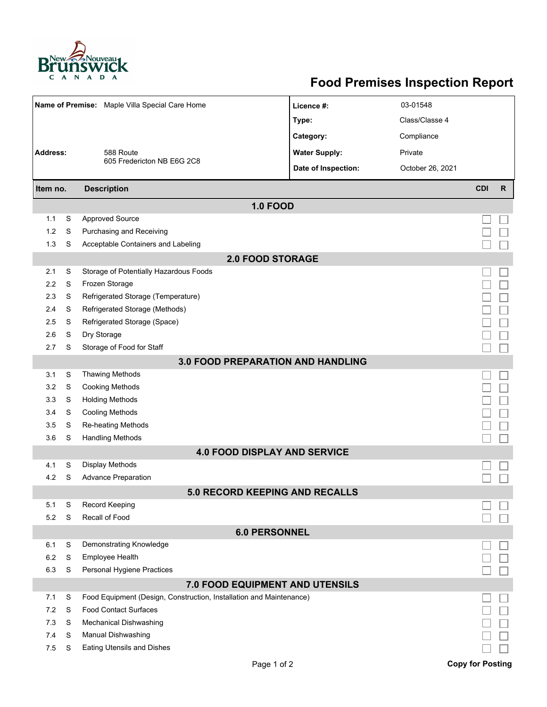

## **Food Premises Inspection Report**

| Name of Premise: Maple Villa Special Care Home |   |                                                                     | Licence #:           | 03-01548         |                         |              |  |  |  |
|------------------------------------------------|---|---------------------------------------------------------------------|----------------------|------------------|-------------------------|--------------|--|--|--|
|                                                |   |                                                                     | Type:                | Class/Classe 4   |                         |              |  |  |  |
|                                                |   |                                                                     | Category:            | Compliance       |                         |              |  |  |  |
| <b>Address:</b>                                |   | 588 Route                                                           | <b>Water Supply:</b> | Private          |                         |              |  |  |  |
|                                                |   | 605 Fredericton NB E6G 2C8                                          | Date of Inspection:  | October 26, 2021 |                         |              |  |  |  |
|                                                |   |                                                                     |                      |                  |                         |              |  |  |  |
| <b>Description</b><br>Item no.                 |   |                                                                     |                      |                  | <b>CDI</b>              | $\mathsf{R}$ |  |  |  |
| <b>1.0 FOOD</b>                                |   |                                                                     |                      |                  |                         |              |  |  |  |
| 1.1                                            | S | <b>Approved Source</b>                                              |                      |                  |                         |              |  |  |  |
| 1.2                                            | S | Purchasing and Receiving                                            |                      |                  |                         |              |  |  |  |
| 1.3                                            | S | Acceptable Containers and Labeling                                  |                      |                  |                         |              |  |  |  |
| <b>2.0 FOOD STORAGE</b>                        |   |                                                                     |                      |                  |                         |              |  |  |  |
| 2.1                                            | S | Storage of Potentially Hazardous Foods                              |                      |                  |                         |              |  |  |  |
| 2.2                                            | S | Frozen Storage                                                      |                      |                  |                         |              |  |  |  |
| 2.3                                            | S | Refrigerated Storage (Temperature)                                  |                      |                  |                         |              |  |  |  |
| 2.4                                            | S | Refrigerated Storage (Methods)                                      |                      |                  |                         |              |  |  |  |
| 2.5                                            | S | Refrigerated Storage (Space)                                        |                      |                  |                         |              |  |  |  |
| 2.6                                            | S | Dry Storage                                                         |                      |                  |                         |              |  |  |  |
| 2.7                                            | S | Storage of Food for Staff                                           |                      |                  |                         |              |  |  |  |
| <b>3.0 FOOD PREPARATION AND HANDLING</b>       |   |                                                                     |                      |                  |                         |              |  |  |  |
| 3.1                                            | S | <b>Thawing Methods</b>                                              |                      |                  |                         |              |  |  |  |
| 3.2                                            | S | <b>Cooking Methods</b>                                              |                      |                  |                         |              |  |  |  |
| 3.3                                            | S | <b>Holding Methods</b>                                              |                      |                  |                         |              |  |  |  |
| 3.4                                            | S | <b>Cooling Methods</b>                                              |                      |                  |                         |              |  |  |  |
| 3.5                                            | S | Re-heating Methods                                                  |                      |                  |                         |              |  |  |  |
| 3.6                                            | S | <b>Handling Methods</b>                                             |                      |                  |                         |              |  |  |  |
| <b>4.0 FOOD DISPLAY AND SERVICE</b>            |   |                                                                     |                      |                  |                         |              |  |  |  |
| 4.1                                            | S | <b>Display Methods</b>                                              |                      |                  |                         |              |  |  |  |
| 4.2                                            | S | <b>Advance Preparation</b>                                          |                      |                  |                         |              |  |  |  |
|                                                |   | <b>5.0 RECORD KEEPING AND RECALLS</b>                               |                      |                  |                         |              |  |  |  |
| 5.1                                            | S | Record Keeping                                                      |                      |                  |                         |              |  |  |  |
| 5.2                                            | S | Recall of Food                                                      |                      |                  |                         |              |  |  |  |
| <b>6.0 PERSONNEL</b>                           |   |                                                                     |                      |                  |                         |              |  |  |  |
| 6.1                                            | S | Demonstrating Knowledge                                             |                      |                  |                         |              |  |  |  |
| 6.2                                            | S | Employee Health                                                     |                      |                  |                         |              |  |  |  |
| 6.3                                            | S | Personal Hygiene Practices                                          |                      |                  |                         |              |  |  |  |
| 7.0 FOOD EQUIPMENT AND UTENSILS                |   |                                                                     |                      |                  |                         |              |  |  |  |
| 7.1                                            | S | Food Equipment (Design, Construction, Installation and Maintenance) |                      |                  |                         |              |  |  |  |
| 7.2                                            | S | <b>Food Contact Surfaces</b>                                        |                      |                  |                         |              |  |  |  |
| 7.3                                            | S | <b>Mechanical Dishwashing</b>                                       |                      |                  |                         |              |  |  |  |
| 7.4                                            | S | Manual Dishwashing                                                  |                      |                  |                         |              |  |  |  |
| 7.5                                            | S | <b>Eating Utensils and Dishes</b>                                   |                      |                  |                         |              |  |  |  |
|                                                |   | Page 1 of 2                                                         |                      |                  | <b>Copy for Posting</b> |              |  |  |  |